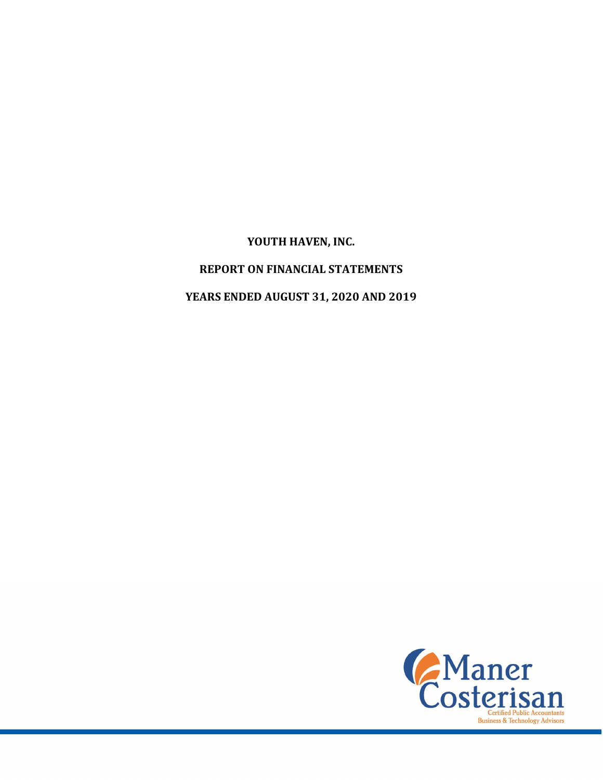# **YOUTH HAVEN, INC.**

## **REPORT ON FINANCIAL STATEMENTS**

# **YEARS ENDED AUGUST 31, 2020 AND 2019**

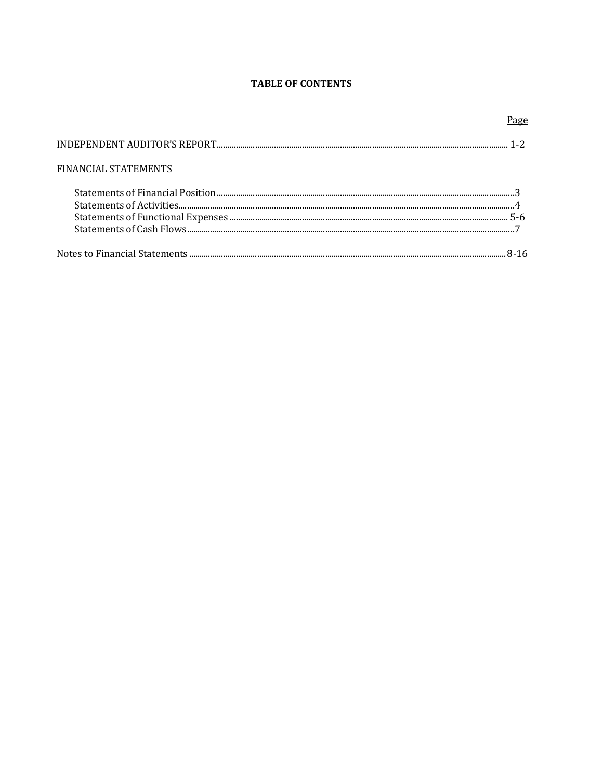# **TABLE OF CONTENTS**

| FINANCIAL STATEMENTS |  |
|----------------------|--|
|                      |  |
|                      |  |
|                      |  |
|                      |  |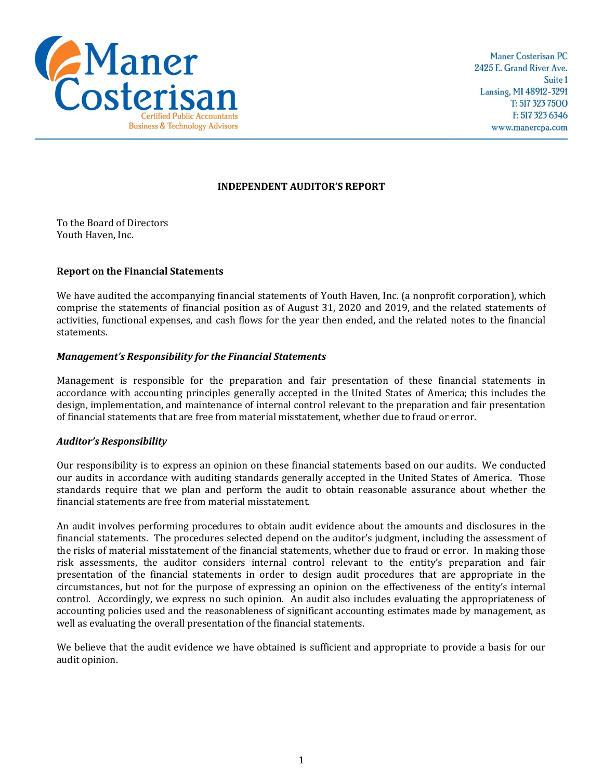

### **INDEPENDENT AUDITOR'S REPORT**

To the Board of Directors Youth Haven, Inc.

#### **Report on the Financial Statements**

We have audited the accompanying financial statements of Youth Haven, Inc. (a nonprofit corporation), which comprise the statements of financial position as of August 31, 2020 and 2019, and the related statements of activities, functional expenses, and cash flows for the year then ended, and the related notes to the financial statements.

#### *Management's Responsibility for the Financial Statements*

Management is responsible for the preparation and fair presentation of these financial statements in accordance with accounting principles generally accepted in the United States of America; this includes the design, implementation, and maintenance of internal control relevant to the preparation and fair presentation of financial statements that are free from material misstatement, whether due to fraud or error.

#### *Auditor's Responsibility*

Our responsibility is to express an opinion on these financial statements based on our audits. We conducted our audits in accordance with auditing standards generally accepted in the United States of America. Those standards require that we plan and perform the audit to obtain reasonable assurance about whether the financial statements are free from material misstatement.

An audit involves performing procedures to obtain audit evidence about the amounts and disclosures in the financial statements. The procedures selected depend on the auditor's judgment, including the assessment of the risks of material misstatement of the financial statements, whether due to fraud or error. In making those risk assessments, the auditor considers internal control relevant to the entity's preparation and fair presentation of the financial statements in order to design audit procedures that are appropriate in the circumstances, but not for the purpose of expressing an opinion on the effectiveness of the entity's internal control. Accordingly, we express no such opinion. An audit also includes evaluating the appropriateness of accounting policies used and the reasonableness of significant accounting estimates made by management, as well as evaluating the overall presentation of the financial statements.

We believe that the audit evidence we have obtained is sufficient and appropriate to provide a basis for our audit opinion.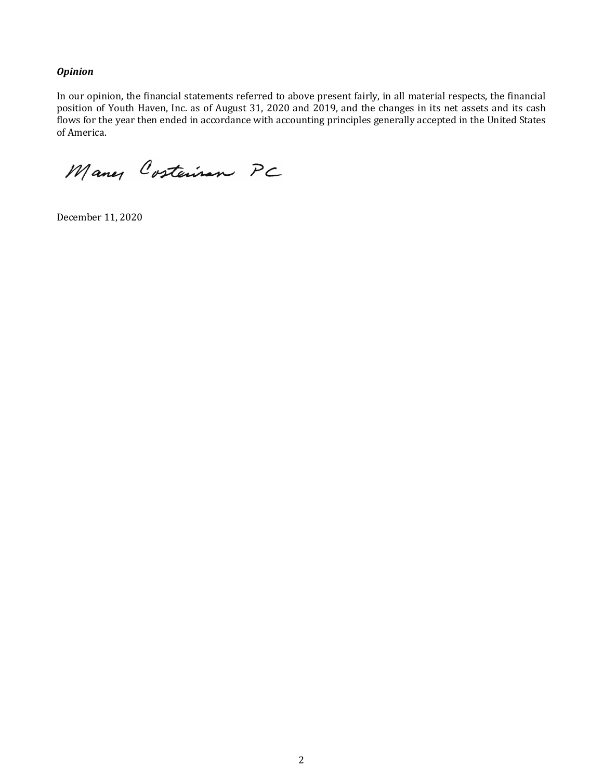### *Opinion*

In our opinion, the financial statements referred to above present fairly, in all material respects, the financial position of Youth Haven, Inc. as of August 31, 2020 and 2019, and the changes in its net assets and its cash flows for the year then ended in accordance with accounting principles generally accepted in the United States of America.

Many Costerinan PC

December 11, 2020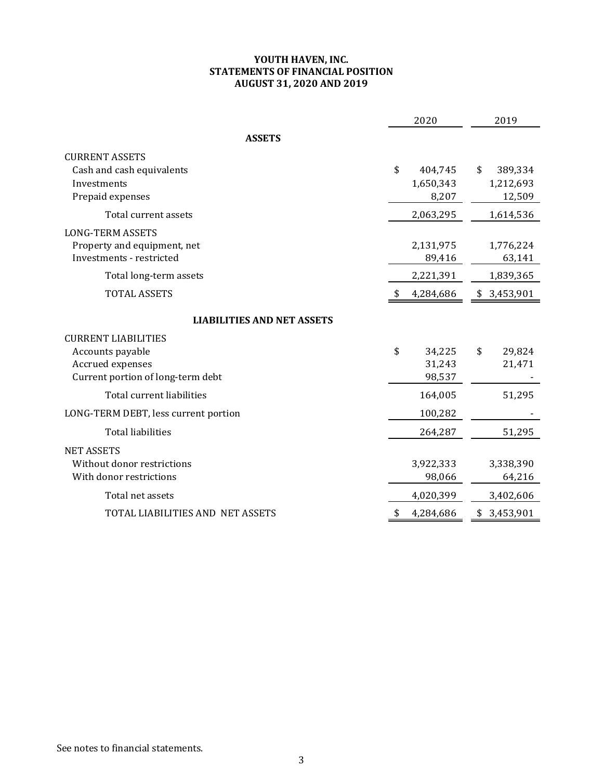### **YOUTH HAVEN, INC. STATEMENTS OF FINANCIAL POSITION AUGUST 31, 2020 AND 2019**

|                                                                                                                                      |    | 2020                                  | 2019                                 |
|--------------------------------------------------------------------------------------------------------------------------------------|----|---------------------------------------|--------------------------------------|
| <b>ASSETS</b>                                                                                                                        |    |                                       |                                      |
| <b>CURRENT ASSETS</b><br>Cash and cash equivalents<br>Investments<br>Prepaid expenses                                                | \$ | 404,745<br>1,650,343<br>8,207         | \$<br>389,334<br>1,212,693<br>12,509 |
| Total current assets                                                                                                                 |    | 2,063,295                             | 1,614,536                            |
| <b>LONG-TERM ASSETS</b><br>Property and equipment, net<br>Investments - restricted<br>Total long-term assets                         |    | 2,131,975<br>89,416<br>2,221,391      | 1,776,224<br>63,141<br>1,839,365     |
| <b>TOTAL ASSETS</b>                                                                                                                  | -S | 4,284,686                             | \$3,453,901                          |
| <b>LIABILITIES AND NET ASSETS</b>                                                                                                    |    |                                       |                                      |
| <b>CURRENT LIABILITIES</b><br>Accounts payable<br>Accrued expenses<br>Current portion of long-term debt<br>Total current liabilities | \$ | 34,225<br>31,243<br>98,537<br>164,005 | \$<br>29,824<br>21,471<br>51,295     |
| LONG-TERM DEBT, less current portion                                                                                                 |    | 100,282                               |                                      |
| <b>Total liabilities</b>                                                                                                             |    | 264,287                               | 51,295                               |
| <b>NET ASSETS</b><br>Without donor restrictions<br>With donor restrictions                                                           |    | 3,922,333<br>98,066                   | 3,338,390<br>64,216                  |
| Total net assets<br><b>TOTAL LIABILITIES AND NET ASSETS</b>                                                                          | \$ | 4,020,399<br>4,284,686                | \$<br>3,402,606<br>3,453,901         |
|                                                                                                                                      |    |                                       |                                      |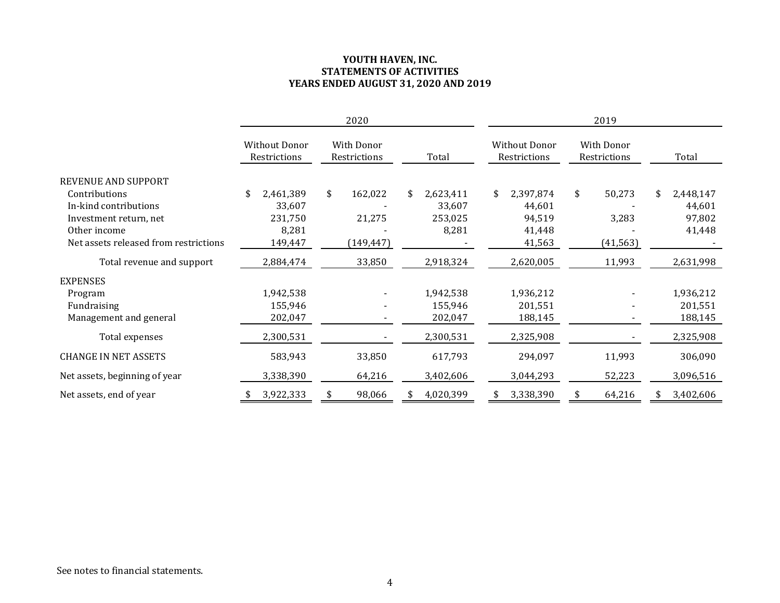### **YOUTH HAVEN, INC. STATEMENTS OF ACTIVITIES YEARS ENDED AUGUST 31, 2020 AND 2019**

|                                       |                                      | 2020                                |                 | 2019            |                            |                 |  |  |  |  |
|---------------------------------------|--------------------------------------|-------------------------------------|-----------------|-----------------|----------------------------|-----------------|--|--|--|--|
|                                       | <b>Without Donor</b><br>Restrictions | With Donor<br>Restrictions<br>Total |                 |                 | With Donor<br>Restrictions | Total           |  |  |  |  |
| REVENUE AND SUPPORT                   |                                      |                                     |                 |                 |                            |                 |  |  |  |  |
| Contributions                         | \$<br>2,461,389                      | \$<br>162,022                       | 2,623,411<br>\$ | \$<br>2,397,874 | \$<br>50,273               | 2,448,147<br>\$ |  |  |  |  |
| In-kind contributions                 | 33,607                               |                                     | 33,607          | 44,601          |                            | 44,601          |  |  |  |  |
| Investment return, net                | 231,750                              | 21,275                              | 253,025         | 94,519          | 3,283                      | 97,802          |  |  |  |  |
| Other income                          | 8,281                                |                                     | 8,281           | 41,448          |                            | 41,448          |  |  |  |  |
| Net assets released from restrictions | 149,447                              | (149, 447)                          |                 | 41,563          | (41, 563)                  |                 |  |  |  |  |
| Total revenue and support             | 2,884,474                            | 33,850                              | 2,918,324       | 2,620,005       | 11,993                     | 2,631,998       |  |  |  |  |
| <b>EXPENSES</b>                       |                                      |                                     |                 |                 |                            |                 |  |  |  |  |
| Program                               | 1,942,538                            |                                     | 1,942,538       | 1,936,212       |                            | 1,936,212       |  |  |  |  |
| Fundraising                           | 155,946                              |                                     | 155,946         | 201,551         |                            | 201,551         |  |  |  |  |
| Management and general                | 202,047                              |                                     | 202,047         | 188,145         |                            | 188,145         |  |  |  |  |
| Total expenses                        | 2,300,531                            |                                     | 2,300,531       | 2,325,908       |                            | 2,325,908       |  |  |  |  |
| <b>CHANGE IN NET ASSETS</b>           | 583,943                              | 33,850                              | 617,793         | 294,097         | 11,993                     | 306,090         |  |  |  |  |
| Net assets, beginning of year         | 3,338,390                            | 64,216                              | 3,402,606       | 3,044,293       | 52,223                     | 3,096,516       |  |  |  |  |
| Net assets, end of year               | 3,922,333                            | 98,066                              | 4,020,399       | 3,338,390       | 64,216                     | 3,402,606       |  |  |  |  |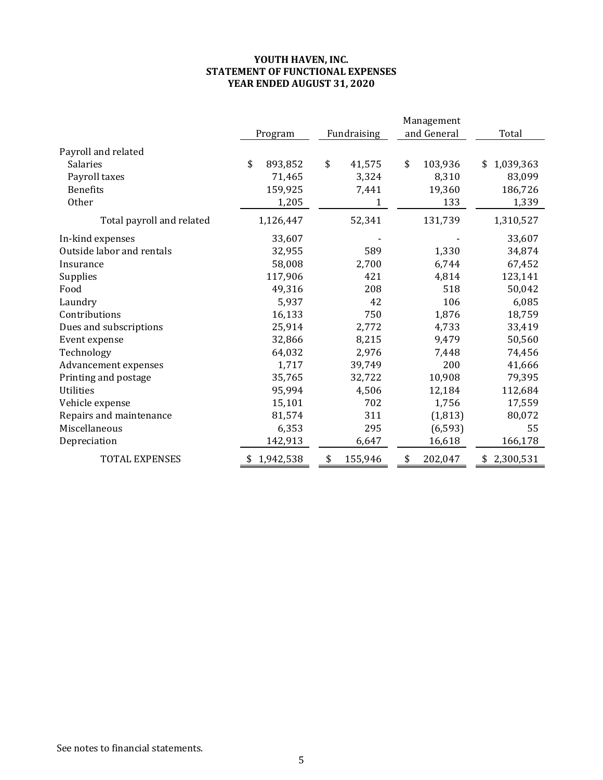## **YOUTH HAVEN, INC. STATEMENT OF FUNCTIONAL EXPENSES YEAR ENDED AUGUST 31, 2020**

|                           |                 |               | Management    |                 |
|---------------------------|-----------------|---------------|---------------|-----------------|
|                           | Program         | Fundraising   | and General   | Total           |
| Payroll and related       |                 |               |               |                 |
| Salaries                  | \$<br>893,852   | \$<br>41,575  | \$<br>103,936 | 1,039,363<br>\$ |
| Payroll taxes             | 71,465          | 3,324         | 8,310         | 83,099          |
| <b>Benefits</b>           | 159,925         | 7,441         | 19,360        | 186,726         |
| Other                     | 1,205           | 1             | 133           | 1,339           |
| Total payroll and related | 1,126,447       | 52,341        | 131,739       | 1,310,527       |
| In-kind expenses          | 33,607          |               |               | 33,607          |
| Outside labor and rentals | 32,955          | 589           | 1,330         | 34,874          |
| Insurance                 | 58,008          | 2,700         | 6,744         | 67,452          |
| Supplies                  | 117,906         | 421           | 4,814         | 123,141         |
| Food                      | 49,316          | 208           | 518           | 50,042          |
| Laundry                   | 5,937           | 42            | 106           | 6,085           |
| Contributions             | 16,133          | 750           | 1,876         | 18,759          |
| Dues and subscriptions    | 25,914          | 2,772         | 4,733         | 33,419          |
| Event expense             | 32,866          | 8,215         | 9,479         | 50,560          |
| Technology                | 64,032          | 2,976         | 7,448         | 74,456          |
| Advancement expenses      | 1,717           | 39,749        | 200           | 41,666          |
| Printing and postage      | 35,765          | 32,722        | 10,908        | 79,395          |
| <b>Utilities</b>          | 95,994          | 4,506         | 12,184        | 112,684         |
| Vehicle expense           | 15,101          | 702           | 1,756         | 17,559          |
| Repairs and maintenance   | 81,574          | 311           | (1, 813)      | 80,072          |
| Miscellaneous             | 6,353           | 295           | (6, 593)      | 55              |
| Depreciation              | 142,913         | 6,647         | 16,618        | 166,178         |
| <b>TOTAL EXPENSES</b>     | 1,942,538<br>\$ | \$<br>155,946 | \$<br>202,047 | 2,300,531<br>\$ |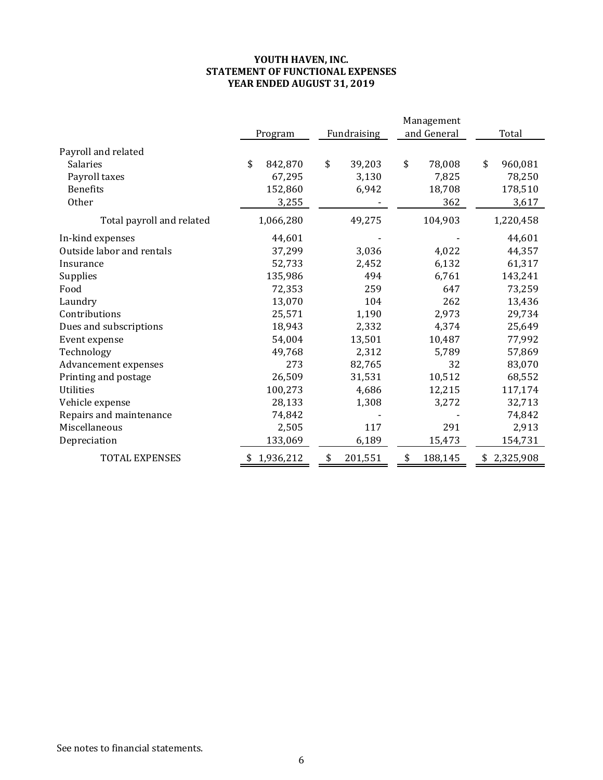## **YOUTH HAVEN, INC. STATEMENT OF FUNCTIONAL EXPENSES YEAR ENDED AUGUST 31, 2019**

|                           |                 |               | Management    |                 |
|---------------------------|-----------------|---------------|---------------|-----------------|
|                           | Program         | Fundraising   | and General   | Total           |
| Payroll and related       |                 |               |               |                 |
| Salaries                  | \$<br>842,870   | \$<br>39,203  | \$<br>78,008  | \$<br>960,081   |
| Payroll taxes             | 67,295          | 3,130         | 7,825         | 78,250          |
| <b>Benefits</b>           | 152,860         | 6,942         | 18,708        | 178,510         |
| Other                     | 3,255           |               | 362           | 3,617           |
| Total payroll and related | 1,066,280       | 49,275        | 104,903       | 1,220,458       |
| In-kind expenses          | 44,601          |               |               | 44,601          |
| Outside labor and rentals | 37,299          | 3,036         | 4,022         | 44,357          |
| Insurance                 | 52,733          | 2,452         | 6,132         | 61,317          |
| Supplies                  | 135,986         | 494           | 6,761         | 143,241         |
| Food                      | 72,353          | 259           | 647           | 73,259          |
| Laundry                   | 13,070          | 104           | 262           | 13,436          |
| Contributions             | 25,571          | 1,190         | 2,973         | 29,734          |
| Dues and subscriptions    | 18,943          | 2,332         | 4,374         | 25,649          |
| Event expense             | 54,004          | 13,501        | 10,487        | 77,992          |
| Technology                | 49,768          | 2,312         | 5,789         | 57,869          |
| Advancement expenses      | 273             | 82,765        | 32            | 83,070          |
| Printing and postage      | 26,509          | 31,531        | 10,512        | 68,552          |
| <b>Utilities</b>          | 100,273         | 4,686         | 12,215        | 117,174         |
| Vehicle expense           | 28,133          | 1,308         | 3,272         | 32,713          |
| Repairs and maintenance   | 74,842          |               |               | 74,842          |
| Miscellaneous             | 2,505           | 117           | 291           | 2,913           |
| Depreciation              | 133,069         | 6,189         | 15,473        | 154,731         |
| <b>TOTAL EXPENSES</b>     | 1,936,212<br>\$ | \$<br>201,551 | \$<br>188,145 | 2,325,908<br>\$ |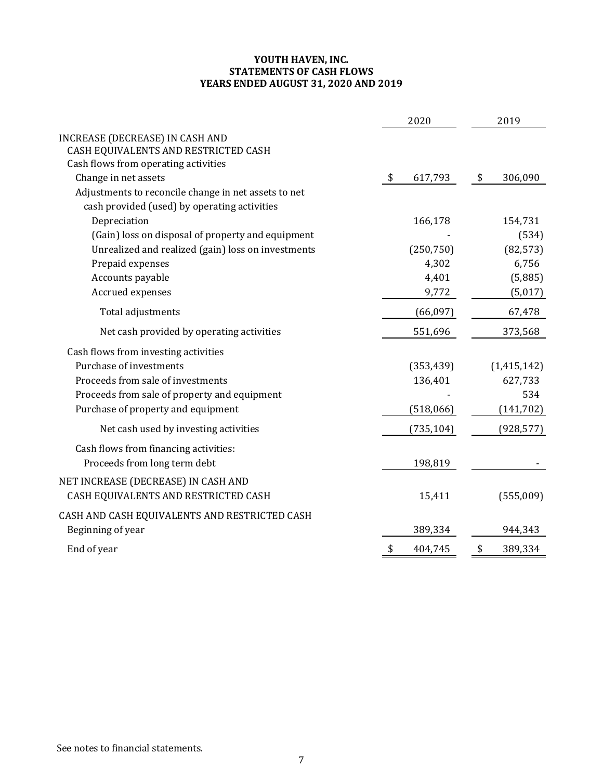## **YOUTH HAVEN, INC. STATEMENTS OF CASH FLOWS YEARS ENDED AUGUST 31, 2020 AND 2019**

|                                                                                                      | 2020          |               |  |
|------------------------------------------------------------------------------------------------------|---------------|---------------|--|
| INCREASE (DECREASE) IN CASH AND<br>CASH EQUIVALENTS AND RESTRICTED CASH                              |               |               |  |
| Cash flows from operating activities<br>Change in net assets                                         | \$<br>617,793 | \$<br>306,090 |  |
| Adjustments to reconcile change in net assets to net<br>cash provided (used) by operating activities |               |               |  |
| Depreciation                                                                                         | 166,178       | 154,731       |  |
| (Gain) loss on disposal of property and equipment                                                    |               | (534)         |  |
| Unrealized and realized (gain) loss on investments                                                   | (250, 750)    | (82, 573)     |  |
| Prepaid expenses                                                                                     | 4,302         | 6,756         |  |
| Accounts payable                                                                                     | 4,401         | (5,885)       |  |
| Accrued expenses                                                                                     | 9,772         | (5,017)       |  |
| Total adjustments                                                                                    | (66,097)      | 67,478        |  |
| Net cash provided by operating activities                                                            | 551,696       | 373,568       |  |
| Cash flows from investing activities                                                                 |               |               |  |
| Purchase of investments                                                                              | (353, 439)    | (1,415,142)   |  |
| Proceeds from sale of investments                                                                    | 136,401       | 627,733       |  |
| Proceeds from sale of property and equipment                                                         |               | 534           |  |
| Purchase of property and equipment                                                                   | (518,066)     | (141, 702)    |  |
| Net cash used by investing activities                                                                | (735, 104)    | (928, 577)    |  |
| Cash flows from financing activities:                                                                |               |               |  |
| Proceeds from long term debt                                                                         | 198,819       |               |  |
| NET INCREASE (DECREASE) IN CASH AND<br>CASH EQUIVALENTS AND RESTRICTED CASH                          | 15,411        | (555,009)     |  |
| CASH AND CASH EQUIVALENTS AND RESTRICTED CASH                                                        |               |               |  |
| Beginning of year                                                                                    | 389,334       | 944,343       |  |
| End of year                                                                                          | \$<br>404,745 | \$<br>389,334 |  |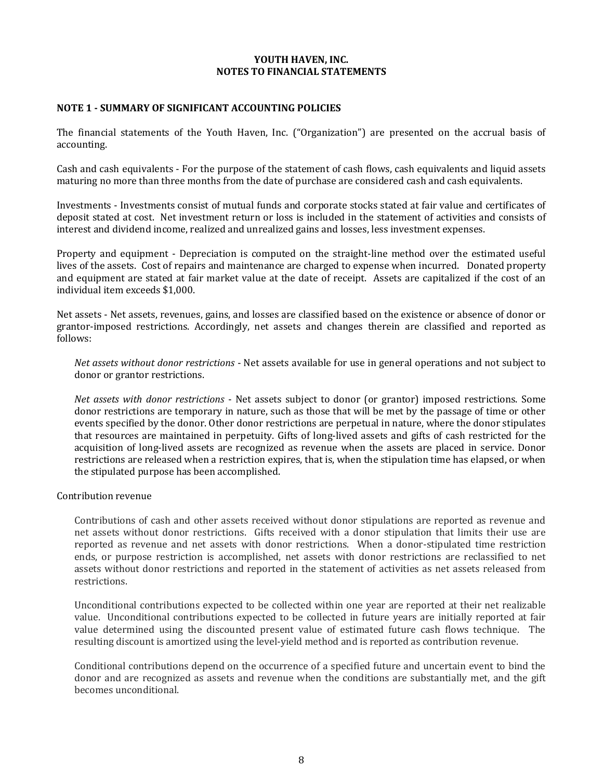#### **NOTE 1 - SUMMARY OF SIGNIFICANT ACCOUNTING POLICIES**

The financial statements of the Youth Haven, Inc. ("Organization") are presented on the accrual basis of accounting.

Cash and cash equivalents - For the purpose of the statement of cash flows, cash equivalents and liquid assets maturing no more than three months from the date of purchase are considered cash and cash equivalents.

Investments - Investments consist of mutual funds and corporate stocks stated at fair value and certificates of deposit stated at cost. Net investment return or loss is included in the statement of activities and consists of interest and dividend income, realized and unrealized gains and losses, less investment expenses.

Property and equipment - Depreciation is computed on the straight-line method over the estimated useful lives of the assets. Cost of repairs and maintenance are charged to expense when incurred. Donated property and equipment are stated at fair market value at the date of receipt. Assets are capitalized if the cost of an individual item exceeds \$1,000.

Net assets - Net assets, revenues, gains, and losses are classified based on the existence or absence of donor or grantor-imposed restrictions. Accordingly, net assets and changes therein are classified and reported as follows:

*Net assets without donor restrictions* - Net assets available for use in general operations and not subject to donor or grantor restrictions.

*Net assets with donor restrictions* - Net assets subject to donor (or grantor) imposed restrictions. Some donor restrictions are temporary in nature, such as those that will be met by the passage of time or other events specified by the donor. Other donor restrictions are perpetual in nature, where the donor stipulates that resources are maintained in perpetuity. Gifts of long-lived assets and gifts of cash restricted for the acquisition of long-lived assets are recognized as revenue when the assets are placed in service. Donor restrictions are released when a restriction expires, that is, when the stipulation time has elapsed, or when the stipulated purpose has been accomplished.

Contribution revenue

Contributions of cash and other assets received without donor stipulations are reported as revenue and net assets without donor restrictions. Gifts received with a donor stipulation that limits their use are reported as revenue and net assets with donor restrictions. When a donor-stipulated time restriction ends, or purpose restriction is accomplished, net assets with donor restrictions are reclassified to net assets without donor restrictions and reported in the statement of activities as net assets released from restrictions.

Unconditional contributions expected to be collected within one year are reported at their net realizable value. Unconditional contributions expected to be collected in future years are initially reported at fair value determined using the discounted present value of estimated future cash flows technique. The resulting discount is amortized using the level-yield method and is reported as contribution revenue.

Conditional contributions depend on the occurrence of a specified future and uncertain event to bind the donor and are recognized as assets and revenue when the conditions are substantially met, and the gift becomes unconditional.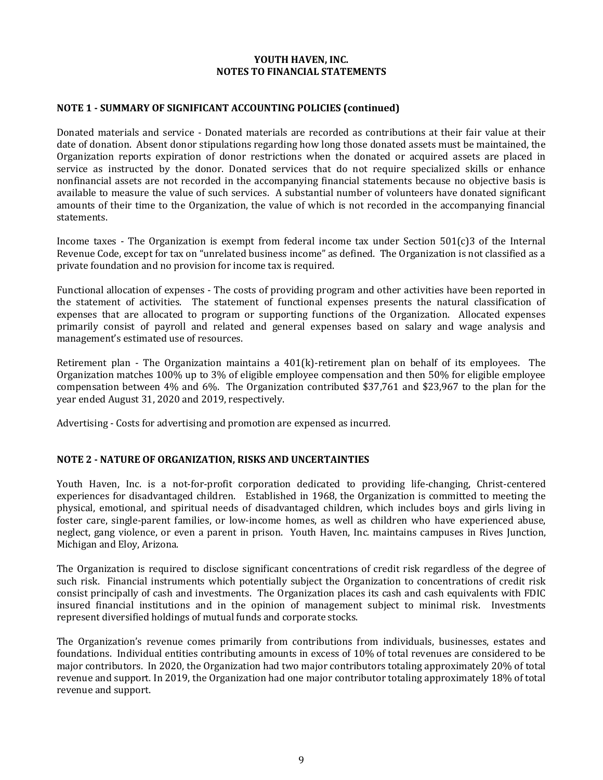#### **NOTE 1 - SUMMARY OF SIGNIFICANT ACCOUNTING POLICIES (continued)**

Donated materials and service - Donated materials are recorded as contributions at their fair value at their date of donation. Absent donor stipulations regarding how long those donated assets must be maintained, the Organization reports expiration of donor restrictions when the donated or acquired assets are placed in service as instructed by the donor. Donated services that do not require specialized skills or enhance nonfinancial assets are not recorded in the accompanying financial statements because no objective basis is available to measure the value of such services. A substantial number of volunteers have donated significant amounts of their time to the Organization, the value of which is not recorded in the accompanying financial statements.

Income taxes - The Organization is exempt from federal income tax under Section 501(c)3 of the Internal Revenue Code, except for tax on "unrelated business income" as defined. The Organization is not classified as a private foundation and no provision for income tax is required.

Functional allocation of expenses - The costs of providing program and other activities have been reported in the statement of activities. The statement of functional expenses presents the natural classification of expenses that are allocated to program or supporting functions of the Organization. Allocated expenses primarily consist of payroll and related and general expenses based on salary and wage analysis and management's estimated use of resources.

Retirement plan - The Organization maintains a 401(k)-retirement plan on behalf of its employees. The Organization matches 100% up to 3% of eligible employee compensation and then 50% for eligible employee compensation between 4% and 6%. The Organization contributed \$37,761 and \$23,967 to the plan for the year ended August 31, 2020 and 2019, respectively.

Advertising - Costs for advertising and promotion are expensed as incurred.

### **NOTE 2 - NATURE OF ORGANIZATION, RISKS AND UNCERTAINTIES**

Youth Haven, Inc. is a not-for-profit corporation dedicated to providing life-changing, Christ-centered experiences for disadvantaged children. Established in 1968, the Organization is committed to meeting the physical, emotional, and spiritual needs of disadvantaged children, which includes boys and girls living in foster care, single-parent families, or low-income homes, as well as children who have experienced abuse, neglect, gang violence, or even a parent in prison. Youth Haven, Inc. maintains campuses in Rives Junction, Michigan and Eloy, Arizona.

The Organization is required to disclose significant concentrations of credit risk regardless of the degree of such risk. Financial instruments which potentially subject the Organization to concentrations of credit risk consist principally of cash and investments. The Organization places its cash and cash equivalents with FDIC insured financial institutions and in the opinion of management subject to minimal risk. Investments represent diversified holdings of mutual funds and corporate stocks.

The Organization's revenue comes primarily from contributions from individuals, businesses, estates and foundations. Individual entities contributing amounts in excess of 10% of total revenues are considered to be major contributors. In 2020, the Organization had two major contributors totaling approximately 20% of total revenue and support. In 2019, the Organization had one major contributor totaling approximately 18% of total revenue and support.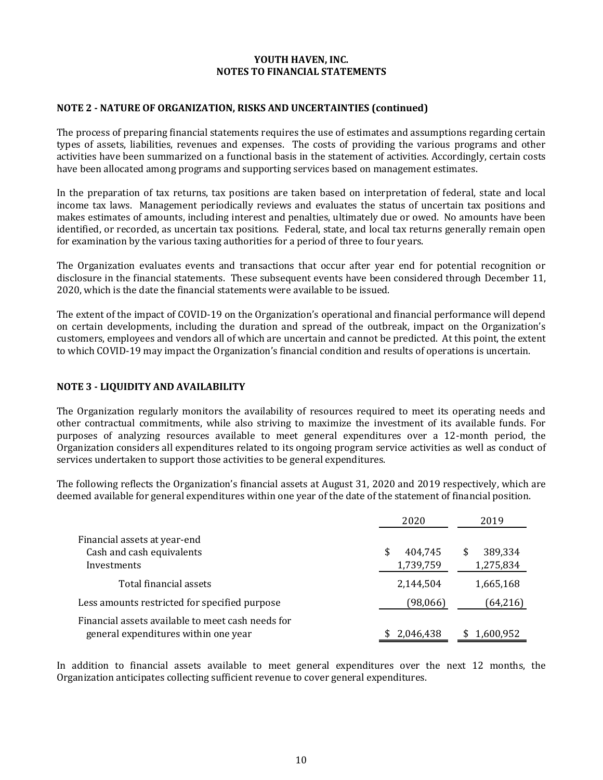#### **NOTE 2 - NATURE OF ORGANIZATION, RISKS AND UNCERTAINTIES (continued)**

The process of preparing financial statements requires the use of estimates and assumptions regarding certain types of assets, liabilities, revenues and expenses. The costs of providing the various programs and other activities have been summarized on a functional basis in the statement of activities. Accordingly, certain costs have been allocated among programs and supporting services based on management estimates.

In the preparation of tax returns, tax positions are taken based on interpretation of federal, state and local income tax laws. Management periodically reviews and evaluates the status of uncertain tax positions and makes estimates of amounts, including interest and penalties, ultimately due or owed. No amounts have been identified, or recorded, as uncertain tax positions. Federal, state, and local tax returns generally remain open for examination by the various taxing authorities for a period of three to four years.

The Organization evaluates events and transactions that occur after year end for potential recognition or disclosure in the financial statements. These subsequent events have been considered through December 11, 2020, which is the date the financial statements were available to be issued.

The extent of the impact of COVID-19 on the Organization's operational and financial performance will depend on certain developments, including the duration and spread of the outbreak, impact on the Organization's customers, employees and vendors all of which are uncertain and cannot be predicted. At this point, the extent to which COVID-19 may impact the Organization's financial condition and results of operations is uncertain.

#### **NOTE 3 - LIQUIDITY AND AVAILABILITY**

The Organization regularly monitors the availability of resources required to meet its operating needs and other contractual commitments, while also striving to maximize the investment of its available funds. For purposes of analyzing resources available to meet general expenditures over a 12-month period, the Organization considers all expenditures related to its ongoing program service activities as well as conduct of services undertaken to support those activities to be general expenditures.

The following reflects the Organization's financial assets at August 31, 2020 and 2019 respectively, which are deemed available for general expenditures within one year of the date of the statement of financial position.

| 2020      | 2019          |
|-----------|---------------|
|           |               |
| 404,745   | 389,334<br>\$ |
| 1,739,759 | 1,275,834     |
| 2,144,504 | 1,665,168     |
| (98,066)  | (64, 216)     |
| 2,046,438 | 1,600,952     |
|           |               |

In addition to financial assets available to meet general expenditures over the next 12 months, the Organization anticipates collecting sufficient revenue to cover general expenditures.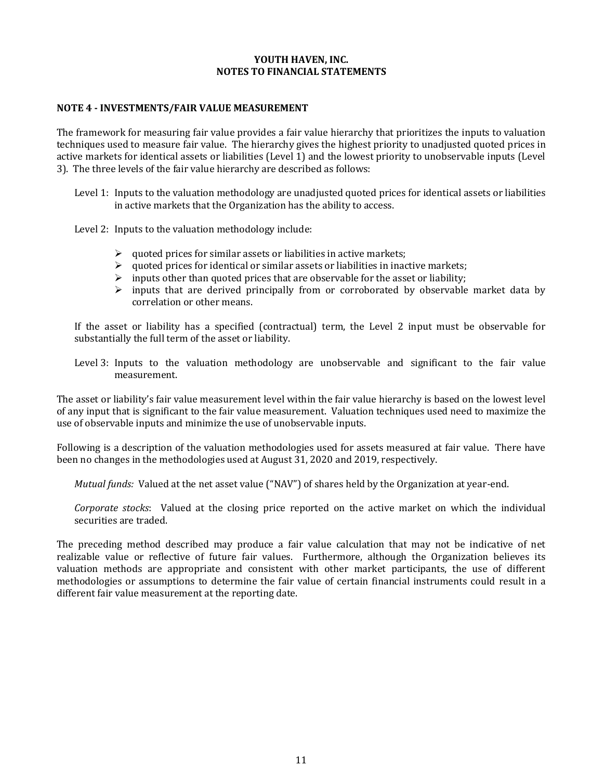#### **NOTE 4 - INVESTMENTS/FAIR VALUE MEASUREMENT**

The framework for measuring fair value provides a fair value hierarchy that prioritizes the inputs to valuation techniques used to measure fair value. The hierarchy gives the highest priority to unadjusted quoted prices in active markets for identical assets or liabilities (Level 1) and the lowest priority to unobservable inputs (Level 3). The three levels of the fair value hierarchy are described as follows:

Level 1: Inputs to the valuation methodology are unadjusted quoted prices for identical assets or liabilities in active markets that the Organization has the ability to access.

Level 2: Inputs to the valuation methodology include:

- $\triangleright$  quoted prices for similar assets or liabilities in active markets;
- $\triangleright$  quoted prices for identical or similar assets or liabilities in inactive markets;
- $\triangleright$  inputs other than quoted prices that are observable for the asset or liability;
- $\triangleright$  inputs that are derived principally from or corroborated by observable market data by correlation or other means.

If the asset or liability has a specified (contractual) term, the Level 2 input must be observable for substantially the full term of the asset or liability.

Level 3: Inputs to the valuation methodology are unobservable and significant to the fair value measurement.

The asset or liability's fair value measurement level within the fair value hierarchy is based on the lowest level of any input that is significant to the fair value measurement. Valuation techniques used need to maximize the use of observable inputs and minimize the use of unobservable inputs.

Following is a description of the valuation methodologies used for assets measured at fair value. There have been no changes in the methodologies used at August 31, 2020 and 2019, respectively.

*Mutual funds:* Valued at the net asset value ("NAV") of shares held by the Organization at year-end.

*Corporate stocks*: Valued at the closing price reported on the active market on which the individual securities are traded.

The preceding method described may produce a fair value calculation that may not be indicative of net realizable value or reflective of future fair values. Furthermore, although the Organization believes its valuation methods are appropriate and consistent with other market participants, the use of different methodologies or assumptions to determine the fair value of certain financial instruments could result in a different fair value measurement at the reporting date.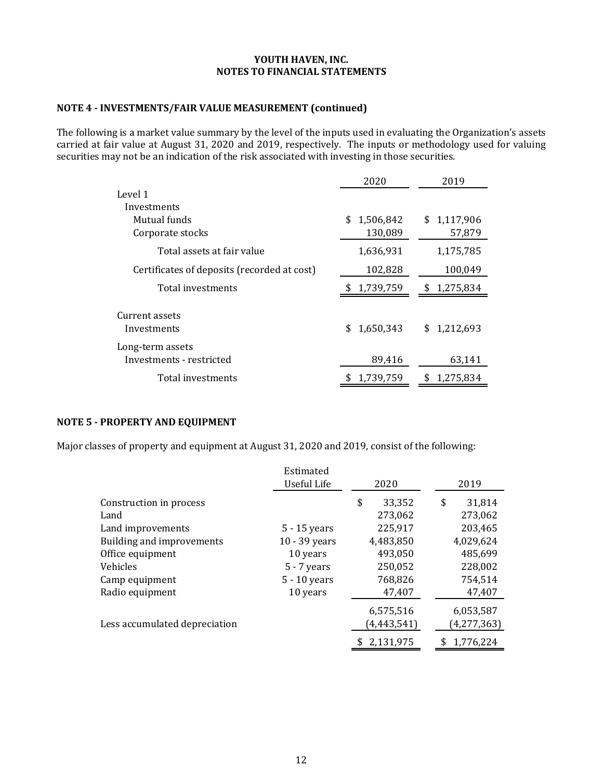## **NOTE 4 - INVESTMENTS/FAIR VALUE MEASUREMENT (continued)**

The following is a market value summary by the level of the inputs used in evaluating the Organization's assets carried at fair value at August 31, 2020 and 2019, respectively. The inputs or methodology used for valuing securities may not be an indication of the risk associated with investing in those securities.

|                                              | 2020            | 2019            |
|----------------------------------------------|-----------------|-----------------|
| Level 1                                      |                 |                 |
| Investments                                  |                 |                 |
| Mutual funds                                 | \$1,506,842     | \$1,117,906     |
| Corporate stocks                             | 130,089         | 57,879          |
| Total assets at fair value                   | 1,636,931       | 1,175,785       |
| Certificates of deposits (recorded at cost)  | 102,828         | 100,049         |
| Total investments                            | 1,739,759<br>S. | 1,275,834<br>S. |
| Current assets<br>Investments                | 1,650,343<br>\$ | 1,212,693<br>\$ |
| Long-term assets<br>Investments - restricted | 89,416          | 63,141          |
| Total investments                            | 1,739,759       | 1,275,834       |

#### **NOTE 5 - PROPERTY AND EQUIPMENT**

Major classes of property and equipment at August 31, 2020 and 2019, consist of the following:

|                               | Estimated<br>Useful Life | 2020          | 2019         |
|-------------------------------|--------------------------|---------------|--------------|
| Construction in process       |                          | \$<br>33,352  | \$<br>31,814 |
| Land                          |                          | 273,062       | 273,062      |
| Land improvements             | 5 - 15 years             | 225,917       | 203,465      |
| Building and improvements     | 10 - 39 years            | 4,483,850     | 4,029,624    |
| Office equipment              | 10 years                 | 493,050       | 485,699      |
| Vehicles                      | $5 - 7$ years            | 250,052       | 228,002      |
| Camp equipment                | $5 - 10$ years           | 768,826       | 754,514      |
| Radio equipment               | 10 years                 | 47,407        | 47,407       |
|                               |                          | 6,575,516     | 6,053,587    |
| Less accumulated depreciation |                          | (4, 443, 541) | (4,277,363)  |
|                               |                          | 2,131,975     | 1,776,224    |
|                               |                          |               |              |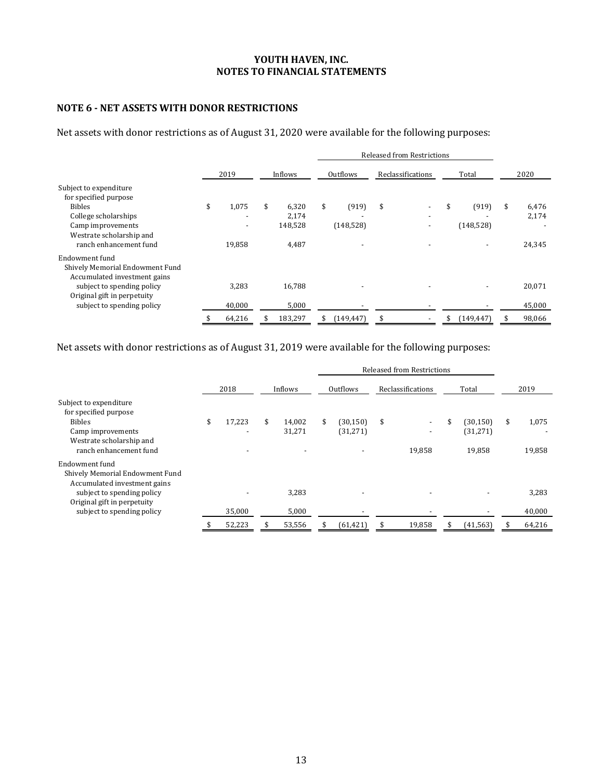# **NOTE 6 - NET ASSETS WITH DONOR RESTRICTIONS**

Net assets with donor restrictions as of August 31, 2020 were available for the following purposes:

|                                                                                   |             |             | <b>Released from Restrictions</b> |            |    |                          |  |            |    |        |
|-----------------------------------------------------------------------------------|-------------|-------------|-----------------------------------|------------|----|--------------------------|--|------------|----|--------|
|                                                                                   | 2019        | Inflows     |                                   | Outflows   |    | Reclassifications        |  | Total      |    | 2020   |
| Subject to expenditure<br>for specified purpose                                   |             |             |                                   |            |    |                          |  |            |    |        |
| <b>Bibles</b>                                                                     | \$<br>1,075 | \$<br>6,320 | \$                                | (919)      | \$ |                          |  | (919)      | \$ | 6,476  |
| College scholarships                                                              |             | 2,174       |                                   |            |    | $\overline{\phantom{0}}$ |  |            |    | 2,174  |
| Camp improvements                                                                 |             | 148,528     |                                   | (148, 528) |    | ٠                        |  | (148, 528) |    |        |
| Westrate scholarship and                                                          |             |             |                                   |            |    |                          |  |            |    |        |
| ranch enhancement fund                                                            | 19,858      | 4,487       |                                   |            |    |                          |  |            |    | 24,345 |
| Endowment fund<br>Shively Memorial Endowment Fund<br>Accumulated investment gains |             |             |                                   |            |    |                          |  |            |    |        |
| subject to spending policy<br>Original gift in perpetuity                         | 3,283       | 16,788      |                                   |            |    |                          |  |            |    | 20,071 |
| subject to spending policy                                                        | 40,000      | 5,000       |                                   |            |    |                          |  |            |    | 45,000 |
|                                                                                   | 64,216      | 183,297     | S.                                | (149, 447) |    |                          |  | (149, 447) |    | 98,066 |

Net assets with donor restrictions as of August 31, 2019 were available for the following purposes:

|                                                                                                                                                                              |              |                        | <b>Released from Restrictions</b> |                       |                   |                                                                |       |                                  |                       |  |
|------------------------------------------------------------------------------------------------------------------------------------------------------------------------------|--------------|------------------------|-----------------------------------|-----------------------|-------------------|----------------------------------------------------------------|-------|----------------------------------|-----------------------|--|
|                                                                                                                                                                              | 2018         | Inflows                |                                   | Outflows              | Reclassifications |                                                                | Total |                                  | 2019                  |  |
| Subject to expenditure<br>for specified purpose<br><b>Bibles</b><br>Camp improvements<br>Westrate scholarship and<br>ranch enhancement fund                                  | \$<br>17,223 | \$<br>14,002<br>31,271 | \$                                | (30, 150)<br>(31,271) | \$                | $\overline{\phantom{0}}$<br>$\overline{\phantom{0}}$<br>19,858 | \$    | (30, 150)<br>(31, 271)<br>19,858 | \$<br>1,075<br>19,858 |  |
| Endowment fund<br>Shively Memorial Endowment Fund<br>Accumulated investment gains<br>subject to spending policy<br>Original gift in perpetuity<br>subject to spending policy | 35,000       | 3,283<br>5,000         |                                   |                       |                   |                                                                |       |                                  | 3,283<br>40,000       |  |
|                                                                                                                                                                              |              |                        |                                   |                       |                   |                                                                |       |                                  |                       |  |
|                                                                                                                                                                              | 52,223       | 53,556                 |                                   | (61, 421)             |                   | 19,858                                                         |       | (41, 563)                        | 64,216                |  |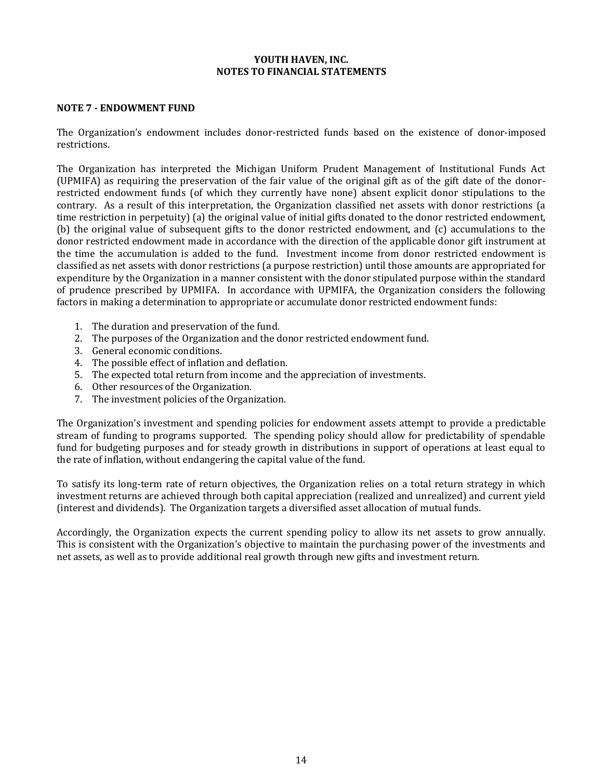#### **NOTE 7 - ENDOWMENT FUND**

The Organization's endowment includes donor-restricted funds based on the existence of donor-imposed restrictions.

The Organization has interpreted the Michigan Uniform Prudent Management of Institutional Funds Act (UPMIFA) as requiring the preservation of the fair value of the original gift as of the gift date of the donorrestricted endowment funds (of which they currently have none) absent explicit donor stipulations to the contrary. As a result of this interpretation, the Organization classified net assets with donor restrictions (a time restriction in perpetuity) (a) the original value of initial gifts donated to the donor restricted endowment, (b) the original value of subsequent gifts to the donor restricted endowment, and (c) accumulations to the donor restricted endowment made in accordance with the direction of the applicable donor gift instrument at the time the accumulation is added to the fund. Investment income from donor restricted endowment is classified as net assets with donor restrictions (a purpose restriction) until those amounts are appropriated for expenditure by the Organization in a manner consistent with the donor stipulated purpose within the standard of prudence prescribed by UPMIFA. In accordance with UPMIFA, the Organization considers the following factors in making a determination to appropriate or accumulate donor restricted endowment funds:

- 1. The duration and preservation of the fund.
- 2. The purposes of the Organization and the donor restricted endowment fund.
- 3. General economic conditions.
- 4. The possible effect of inflation and deflation.
- 5. The expected total return from income and the appreciation of investments.
- 6. Other resources of the Organization.
- 7. The investment policies of the Organization.

The Organization's investment and spending policies for endowment assets attempt to provide a predictable stream of funding to programs supported. The spending policy should allow for predictability of spendable fund for budgeting purposes and for steady growth in distributions in support of operations at least equal to the rate of inflation, without endangering the capital value of the fund.

To satisfy its long-term rate of return objectives, the Organization relies on a total return strategy in which investment returns are achieved through both capital appreciation (realized and unrealized) and current yield (interest and dividends). The Organization targets a diversified asset allocation of mutual funds.

Accordingly, the Organization expects the current spending policy to allow its net assets to grow annually. This is consistent with the Organization's objective to maintain the purchasing power of the investments and net assets, as well as to provide additional real growth through new gifts and investment return.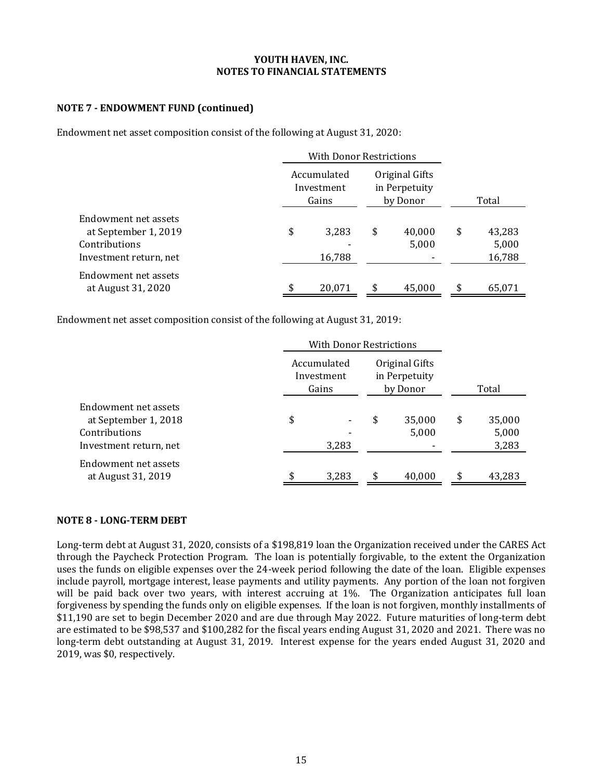### **NOTE 7 - ENDOWMENT FUND (continued)**

Endowment net asset composition consist of the following at August 31, 2020:

|                        | <b>With Donor Restrictions</b> |        |    |                                 |              |
|------------------------|--------------------------------|--------|----|---------------------------------|--------------|
|                        | Accumulated<br>Investment      |        |    | Original Gifts<br>in Perpetuity |              |
|                        | Gains                          |        |    | by Donor                        | Total        |
| Endowment net assets   |                                |        |    |                                 |              |
| at September 1, 2019   | \$                             | 3,283  | \$ | 40,000                          | \$<br>43,283 |
| Contributions          |                                |        |    | 5,000                           | 5,000        |
| Investment return, net |                                | 16,788 |    |                                 | 16,788       |
| Endowment net assets   |                                |        |    |                                 |              |
| at August 31, 2020     | \$                             | 20,071 |    | 45,000                          | \$<br>65,071 |

Endowment net asset composition consist of the following at August 31, 2019:

|                        | <b>With Donor Restrictions</b>     |       |                                             |        |       |        |
|------------------------|------------------------------------|-------|---------------------------------------------|--------|-------|--------|
|                        | Accumulated<br>Investment<br>Gains |       | Original Gifts<br>in Perpetuity<br>by Donor |        | Total |        |
|                        |                                    |       |                                             |        |       |        |
| Endowment net assets   |                                    |       |                                             |        |       |        |
| at September 1, 2018   | \$                                 |       | \$                                          | 35,000 | \$    | 35,000 |
| Contributions          |                                    |       |                                             | 5,000  |       | 5,000  |
| Investment return, net |                                    | 3,283 |                                             |        |       | 3,283  |
| Endowment net assets   |                                    |       |                                             |        |       |        |
| at August 31, 2019     | \$                                 | 3,283 |                                             | 40,000 | \$    | 43,283 |

### **NOTE 8 - LONG-TERM DEBT**

Long-term debt at August 31, 2020, consists of a \$198,819 loan the Organization received under the CARES Act through the Paycheck Protection Program. The loan is potentially forgivable, to the extent the Organization uses the funds on eligible expenses over the 24-week period following the date of the loan. Eligible expenses include payroll, mortgage interest, lease payments and utility payments. Any portion of the loan not forgiven will be paid back over two years, with interest accruing at 1%. The Organization anticipates full loan forgiveness by spending the funds only on eligible expenses. If the loan is not forgiven, monthly installments of \$11,190 are set to begin December 2020 and are due through May 2022. Future maturities of long-term debt are estimated to be \$98,537 and \$100,282 for the fiscal years ending August 31, 2020 and 2021. There was no long-term debt outstanding at August 31, 2019. Interest expense for the years ended August 31, 2020 and 2019, was \$0, respectively.